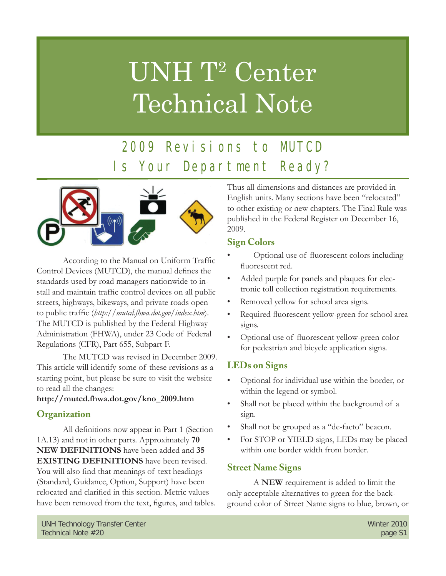# UNH T<sup>2</sup> Center Technical Note

# 2009 Revisions to MUTCD Is Your Department Ready?



According to the Manual on Uniform Traffic Control Devices (MUTCD), the manual defines the standards used by road managers nationwide to install and maintain traffic control devices on all public streets, highways, bikeways, and private roads open to public traffic (*http://mutcd.fhwa.dot.gov/index.htm*). The MUTCD is published by the Federal Highway Administration (FHWA), under 23 Code of Federal Regulations (CFR), Part 655, Subpart F.

 The MUTCD was revised in December 2009. This article will identify some of these revisions as a starting point, but please be sure to visit the website to read all the changes:

#### **http://mutcd.fhwa.dot.gov/kno\_2009.htm**

# **Organization**

All definitions now appear in Part 1 (Section 1A.13) and not in other parts. Approximately **70 NEW DEFINITIONS** have been added and **35 EXISTING DEFINITIONS** have been revised. You will also find that meanings of text headings (Standard, Guidance, Option, Support) have been relocated and clarified in this section. Metric values have been removed from the text, figures, and tables. Thus all dimensions and distances are provided in English units. Many sections have been "relocated" to other existing or new chapters. The Final Rule was published in the Federal Register on December 16, 2009.

#### **Sign Colors**

- Optional use of fluorescent colors including fluorescent red.
- Added purple for panels and plaques for electronic toll collection registration requirements.
- Removed yellow for school area signs.
- Required fluorescent yellow-green for school area signs.
- Optional use of fluorescent yellow-green color for pedestrian and bicycle application signs.

# **LEDs on Signs**

- Optional for individual use within the border, or within the legend or symbol.
- Shall not be placed within the background of a sign.
- Shall not be grouped as a "de-facto" beacon.
- For STOP or YIELD signs, LEDs may be placed within one border width from border.

# **Street Name Signs**

 A **NEW** requirement is added to limit the only acceptable alternatives to green for the background color of Street Name signs to blue, brown, or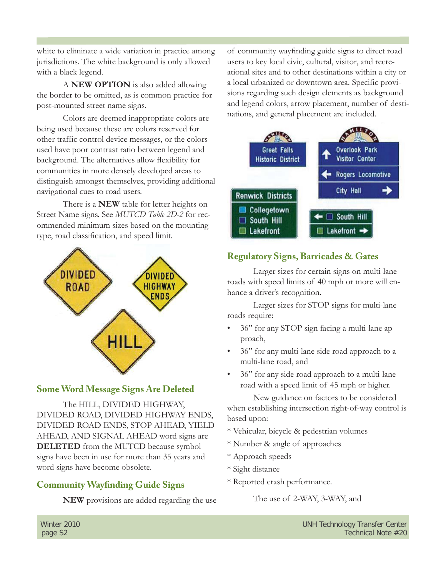white to eliminate a wide variation in practice among jurisdictions. The white background is only allowed with a black legend.

 A **NEW OPTION** is also added allowing the border to be omitted, as is common practice for post-mounted street name signs.

 Colors are deemed inappropriate colors are being used because these are colors reserved for other traffic control device messages, or the colors used have poor contrast ratio between legend and background. The alternatives allow flexibility for communities in more densely developed areas to distinguish amongst themselves, providing additional navigational cues to road users.

 There is a **NEW** table for letter heights on Street Name signs. See *MUTCD Table 2D-2* for recommended minimum sizes based on the mounting type, road classification, and speed limit.



#### **Some Word Message Signs Are Deleted**

 The HILL, DIVIDED HIGHWAY, DIVIDED ROAD, DIVIDED HIGHWAY ENDS, DIVIDED ROAD ENDS, STOP AHEAD, YIELD AHEAD, AND SIGNAL AHEAD word signs are **DELETED** from the MUTCD because symbol signs have been in use for more than 35 years and word signs have become obsolete.

# **Community Wayfinding Guide Signs**

**NEW** provisions are added regarding the use

of community wayfinding guide signs to direct road users to key local civic, cultural, visitor, and recreational sites and to other destinations within a city or a local urbanized or downtown area. Specific provisions regarding such design elements as background and legend colors, arrow placement, number of destinations, and general placement are included.



#### **Regulatory Signs, Barricades & Gates**

 Larger sizes for certain signs on multi-lane roads with speed limits of 40 mph or more will enhance a driver's recognition.

 Larger sizes for STOP signs for multi-lane roads require:

- 36" for any STOP sign facing a multi-lane approach,
- 36" for any multi-lane side road approach to a multi-lane road, and
- 36" for any side road approach to a multi-lane road with a speed limit of 45 mph or higher.

 New guidance on factors to be considered when establishing intersection right-of-way control is based upon:

- \* Vehicular, bicycle & pedestrian volumes
- \* Number & angle of approaches
- \* Approach speeds
- \* Sight distance
- \* Reported crash performance.

The use of 2-WAY, 3-WAY, and

 Winter 2010 UNH Technology Transfer Center page S2 Technical Note #20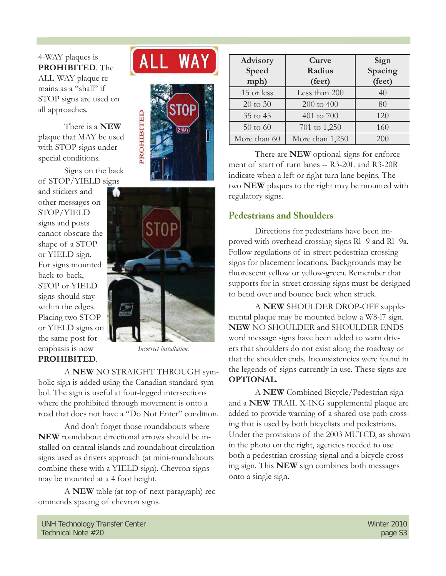4-WAY plaques is **PROHIBITED**. The ALL-WAY plaque remains as a "shall" if STOP signs are used on all approaches.

 There is a **NEW** plaque that MAY be used with STOP signs under special conditions.

 Signs on the back of STOP/YIELD signs

and stickers and other messages on STOP/YIELD signs and posts cannot obscure the shape of a STOP or YIELD sign. For signs mounted back-to-back, STOP or YIELD signs should stay within the edges. Placing two STOP or YIELD signs on the same post for emphasis is now **PROHIBITED**.







*Incorrect installation.*

 A **NEW** NO STRAIGHT THROUGH symbolic sign is added using the Canadian standard symbol. The sign is useful at four-legged intersections where the prohibited through movement is onto a road that does not have a "Do Not Enter" condition.

 And don't forget those roundabouts where **NEW** roundabout directional arrows should be installed on central islands and roundabout circulation signs used as drivers approach (at mini-roundabouts combine these with a YIELD sign). Chevron signs may be mounted at a 4 foot height.

 A **NEW** table (at top of next paragraph) recommends spacing of chevron signs.

| Advisory<br>Speed | Curve<br>Radius | Sign<br>Spacing |
|-------------------|-----------------|-----------------|
| mph)              | (feet)          | (feet)          |
| 15 or less        | Less than 200   | 40              |
| 20 to 30          | 200 to 400      | 80              |
| 35 to 45          | 401 to 700      | 120             |
| 50 to 60          | 701 to 1,250    | 160             |
| More than 60      | More than 1,250 | 200             |

 There are **NEW** optional signs for enforcement of start of turn lanes -- R3-20L and R3-20R indicate when a left or right turn lane begins. The two **NEW** plaques to the right may be mounted with regulatory signs.

# **Pedestrians and Shoulders**

 Directions for pedestrians have been improved with overhead crossing signs Rl -9 and Rl -9a. Follow regulations of in-street pedestrian crossing signs for placement locations. Backgrounds may be fluorescent yellow or yellow-green. Remember that supports for in-street crossing signs must be designed to bend over and bounce back when struck.

 A **NEW** SHOULDER DROP-OFF supplemental plaque may be mounted below a W8-l7 sign. **NEW** NO SHOULDER and SHOULDER ENDS word message signs have been added to warn drivers that shoulders do not exist along the roadway or that the shoulder ends. Inconsistencies were found in the legends of signs currently in use. These signs are **OPTIONAL**.

 A **NEW** Combined Bicycle/Pedestrian sign and a **NEW** TRAIL X-ING supplemental plaque are added to provide warning of a shared-use path crossing that is used by both bicyclists and pedestrians. Under the provisions of the 2003 MUTCD, as shown in the photo on the right, agencies needed to use both a pedestrian crossing signal and a bicycle crossing sign. This **NEW** sign combines both messages onto a single sign.

UNH Technology Transfer Center Winter Winter 2010 Technical Note #20 page S3